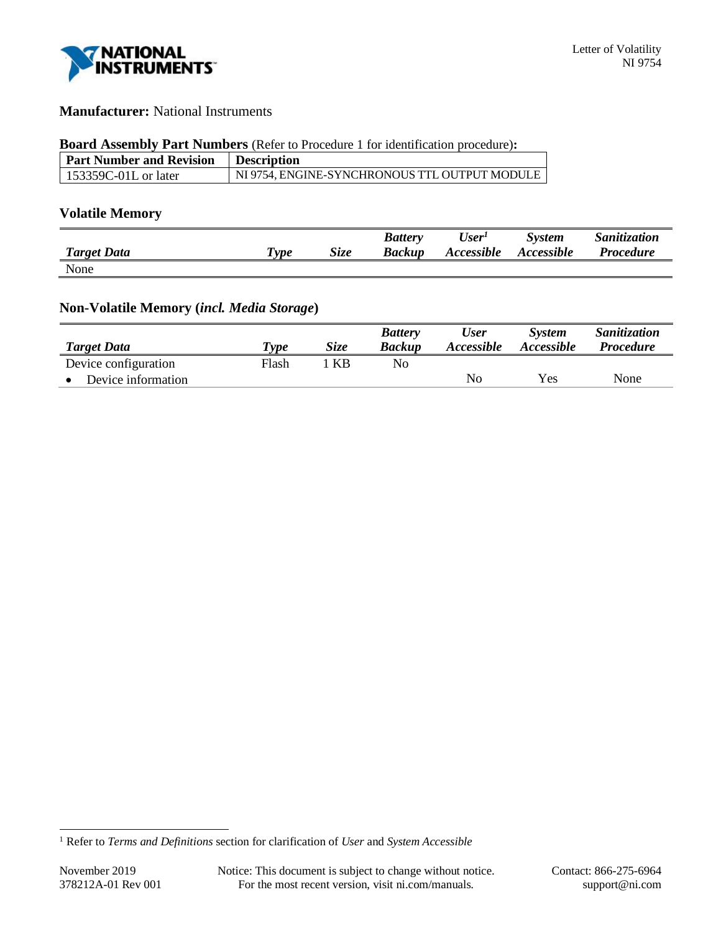

# **Manufacturer:** National Instruments

#### **Board Assembly Part Numbers** (Refer to Procedure 1 for identification procedure)**:**

| Part Number and Revision | <b>Description</b>                            |
|--------------------------|-----------------------------------------------|
| 153359C-01L or later     | NI 9754. ENGINE-SYNCHRONOUS TTL OUTPUT MODULE |

# **Volatile Memory**

|                    |                    |      | <b>Battery</b> | User <sup>1</sup> | <b>System</b>     | Sanitization     |
|--------------------|--------------------|------|----------------|-------------------|-------------------|------------------|
| <b>Target Data</b> | $T$ <sub>ype</sub> | Size | <b>Backup</b>  | Accessible        | <b>Accessible</b> | <b>Procedure</b> |
| None               |                    |      |                |                   |                   |                  |

# **Non-Volatile Memory (***incl. Media Storage***)**

|                      |       |             | <b>Battery</b> | <b>User</b> | <b>System</b>     | Sanitization     |
|----------------------|-------|-------------|----------------|-------------|-------------------|------------------|
| <b>Target Data</b>   | Type  | <i>Size</i> | <b>Backup</b>  | Accessible  | <i>Accessible</i> | <i>Procedure</i> |
| Device configuration | Flash | KB          | No.            |             |                   |                  |
| Device information   |       |             |                | No          | Yes               | None             |

<sup>1</sup> Refer to *Terms and Definitions* section for clarification of *User* and *System Accessible*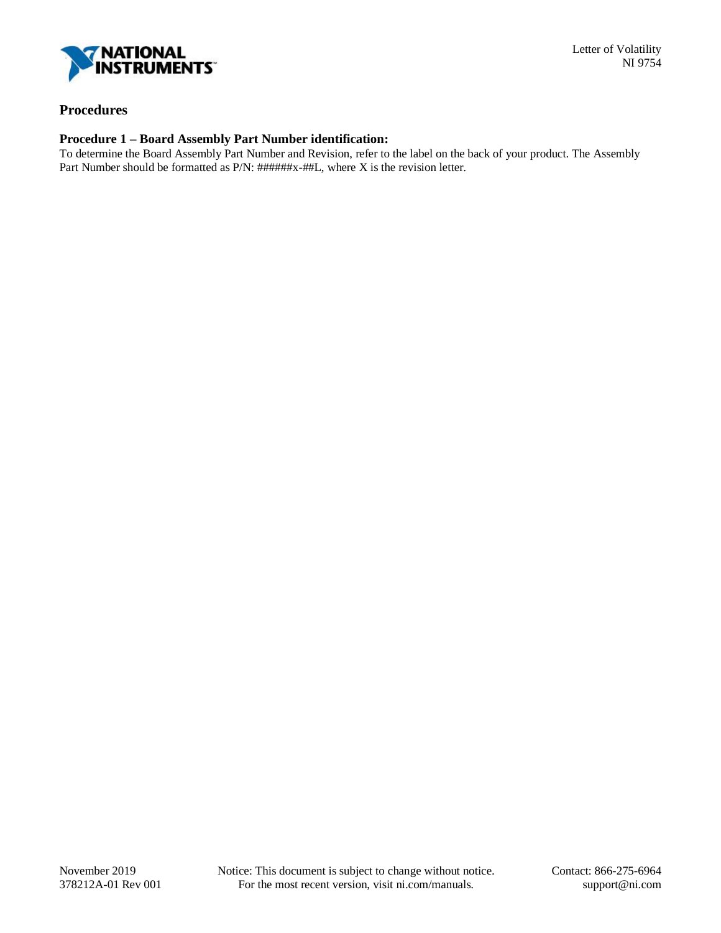

### **Procedures**

#### **Procedure 1 – Board Assembly Part Number identification:**

To determine the Board Assembly Part Number and Revision, refer to the label on the back of your product. The Assembly Part Number should be formatted as P/N: ######x-##L, where X is the revision letter.